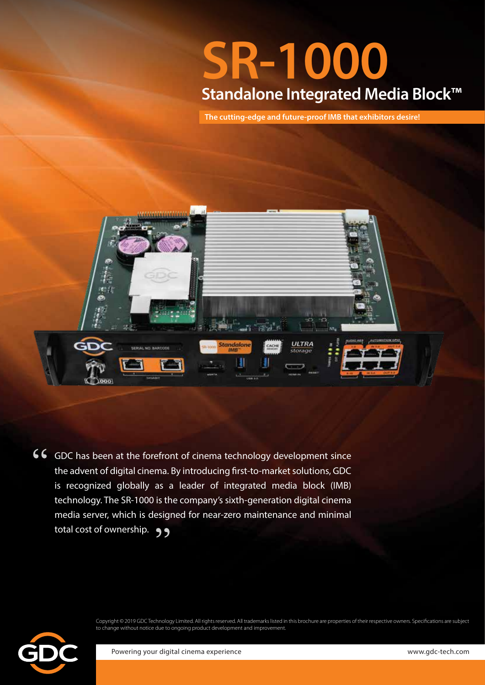# **SR-1000 Standalone Integrated Media Block™**

**The cutting-edge and future-proof IMB that exhibitors desire!**



66 GDC has been at the forefront of cinema technology development since the advent of digital cinema. By introducing first-to-market solutions, GDC is recognized globally as a leader of integrated media block (IMB) technology. The SR-1000 is the company's sixth-generation digital cinema media server, which is designed for near-zero maintenance and minimal total cost of ownership.  $\bullet \bullet$ 

> Copyright © 2019 GDC Technology Limited. All rights reserved. All trademarks listed in this brochure are properties of their respective owners. Specifications are subject to change without notice due to ongoing product development and improvement.